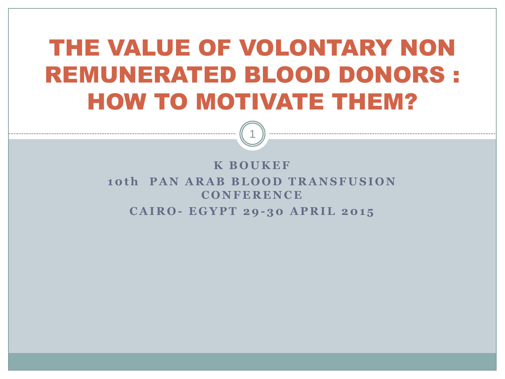# THE VALUE OF VOLONTARY NON REMUNERATED BLOOD DONORS : HOW TO MOTIVATE THEM?

1

#### **K B O U K E F** 10<sup>th</sup> PAN ARAB BLOOD TRANSFUSION **C O N F E R E N C E C A I R O - E G Y P T 2 9 -3 0 A P R I L 2 0 1 5**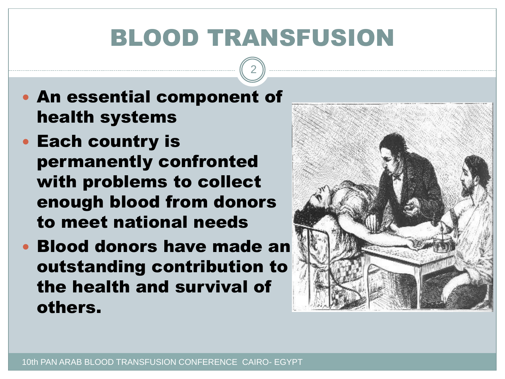# BLOOD TRANSFUSION

2

- An essential component of health systems
- **Each country is** permanently confronted with problems to collect enough blood from donors to meet national needs
- Blood donors have made an outstanding contribution to the health and survival of others.

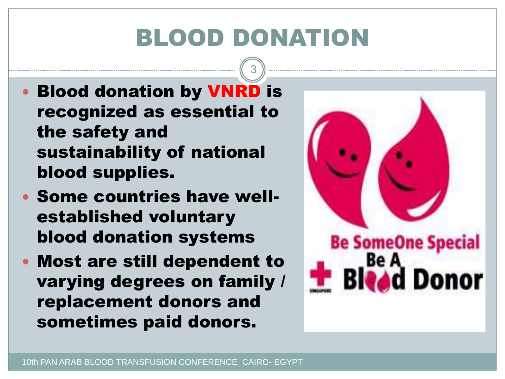# BLOOD DONATION

3

- **Blood donation by VNRD is** recognized as essential to the safety and sustainability of national blood supplies.
- Some countries have wellestablished voluntary blood donation systems
- Most are still dependent to varying degrees on family / replacement donors and sometimes paid donors.

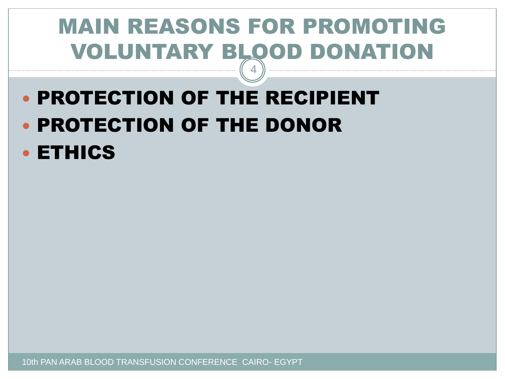#### MAIN REASONS FOR PROMOTING VOLUNTARY BLOOD DONATION 4

## PROTECTION OF THE RECIPIENT **• PROTECTION OF THE DONOR** ETHICS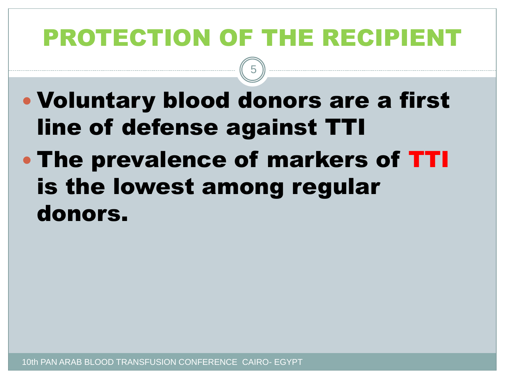# PROTECTION OF THE RECIPIENT

5

- Voluntary blood donors are a first line of defense against TTI
- The prevalence of markers of TTI is the lowest among regular donors.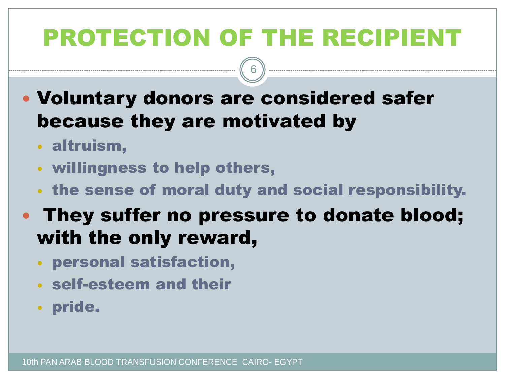# PROTECTION OF THE RECIPIENT

6

- Voluntary donors are considered safer because they are motivated by
	- altruism,
	- willingness to help others,
	- the sense of moral duty and social responsibility.
- They suffer no pressure to donate blood; with the only reward,
	- personal satisfaction,
	- self-esteem and their
	- pride.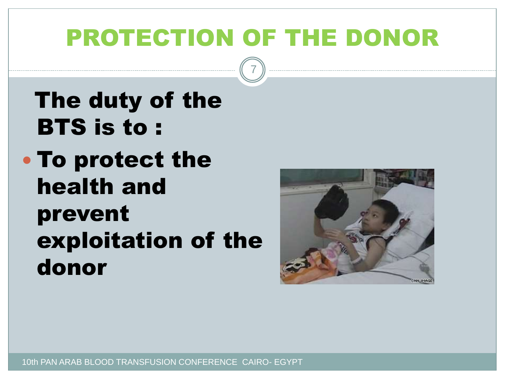# PROTECTION OF THE DONOR

7

# The duty of the BTS is to : To protect the health and prevent exploitation of the donor

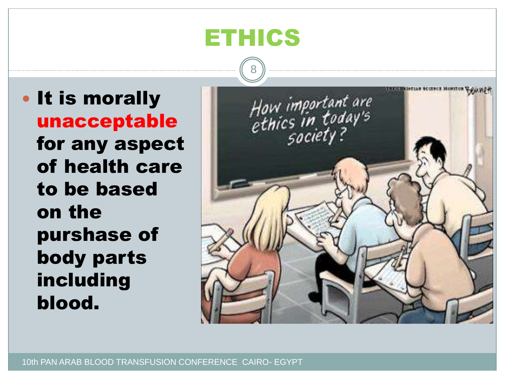## ETHICS

• It is morally unacceptable for any aspect of health care to be based on the purshase of body parts including blood.

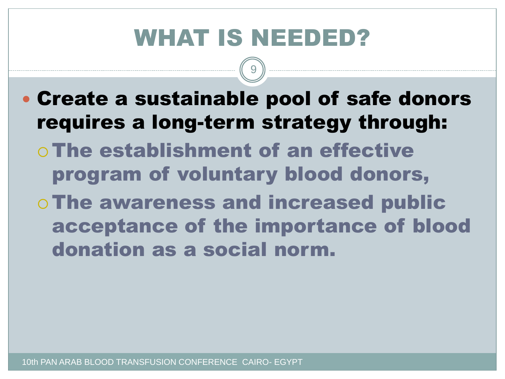# WHAT IS NEEDED?

9

 Create a sustainable pool of safe donors requires a long-term strategy through: The establishment of an effective program of voluntary blood donors, o The awareness and increased public acceptance of the importance of blood donation as a social norm.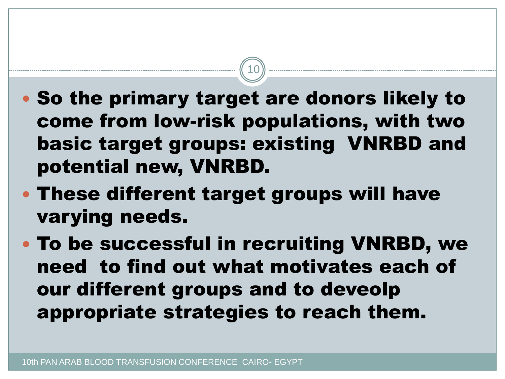So the primary target are donors likely to come from low-risk populations, with two basic target groups: existing VNRBD and potential new, VNRBD.

10

 These different target groups will have varying needs.

 To be successful in recruiting VNRBD, we need to find out what motivates each of our different groups and to deveolp appropriate strategies to reach them.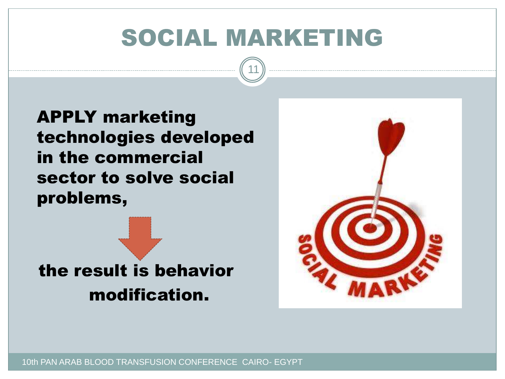# SOCIAL MARKETING

11

APPLY marketing technologies developed in the commercial sector to solve social problems,



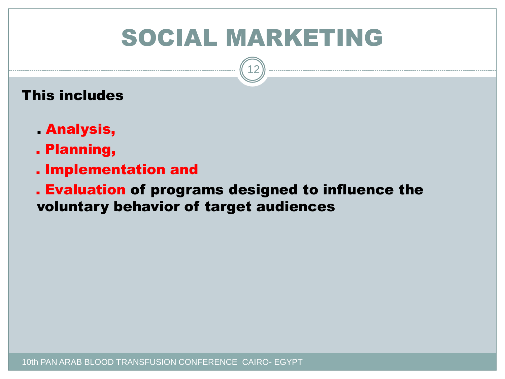# SOCIAL MARKETING

12

#### This includes

- . Analysis,
- . Planning,
- . Implementation and
- . Evaluation of programs designed to influence the voluntary behavior of target audiences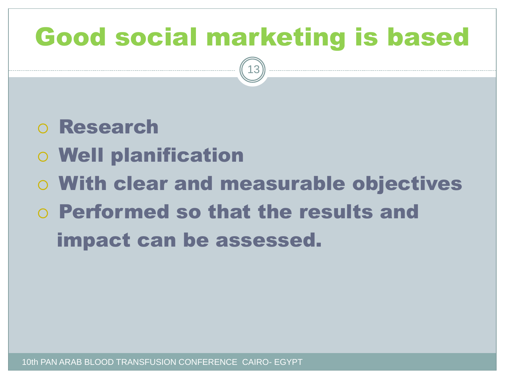# Good social marketing is based

13

### Research

- Well planification
- With clear and measurable objectives
- Performed so that the results and impact can be assessed.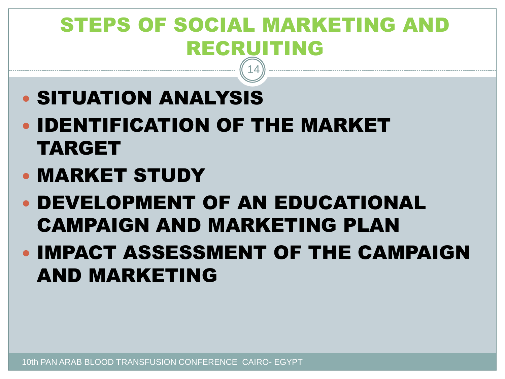#### STEPS OF SOCIAL MARKETING AND RECRUITING 14

- SITUATION ANALYSIS
- IDENTIFICATION OF THE MARKET TARGET
- **MARKET STUDY**
- DEVELOPMENT OF AN EDUCATIONAL CAMPAIGN AND MARKETING PLAN
- **IMPACT ASSESSMENT OF THE CAMPAIGN** AND MARKETING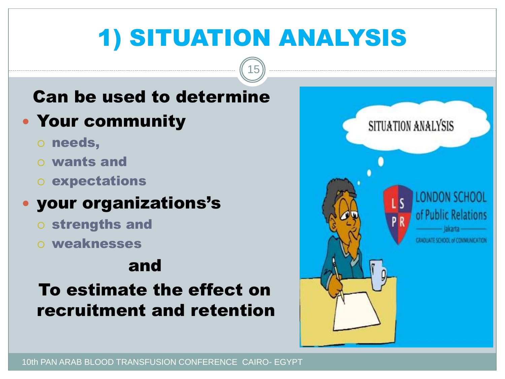# 1) SITUATION ANALYSIS

15

### Can be used to determine

### Your community

- o needs,
- wants and
- o expectations

#### your organizations's

- o strengths and
- weaknesses

#### and

 To estimate the effect on recruitment and retention

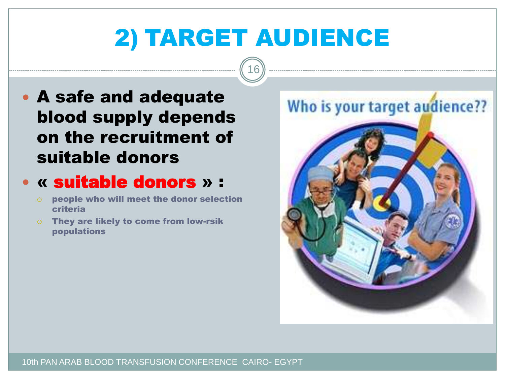# 2) TARGET AUDIENCE

16

#### A safe and adequate blood supply depends on the recruitment of suitable donors

#### « suitable donors » :

- people who will meet the donor selection criteria
- They are likely to come from low-rsik populations

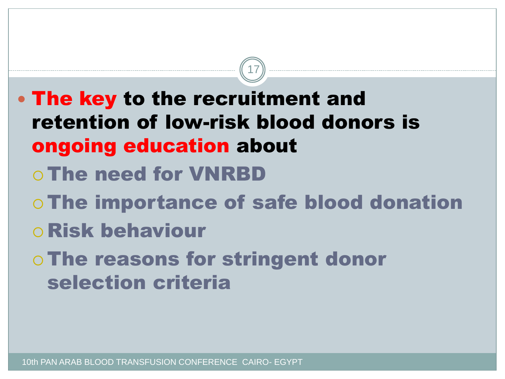The key to the recruitment and retention of low-risk blood donors is ongoing education about The need for VNRBD The importance of safe blood donation Risk behaviour The reasons for stringent donor selection criteria

17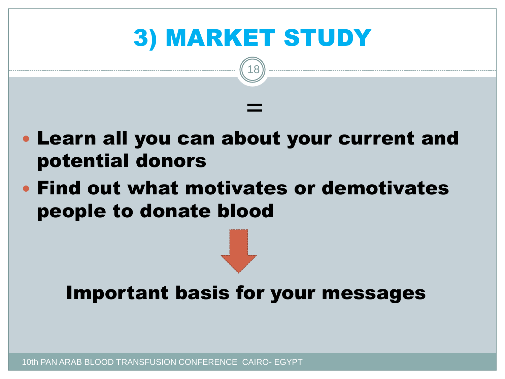

18

- Learn all you can about your current and potential donors
- Find out what motivates or demotivates people to donate blood

#### Important basis for your messages

**=**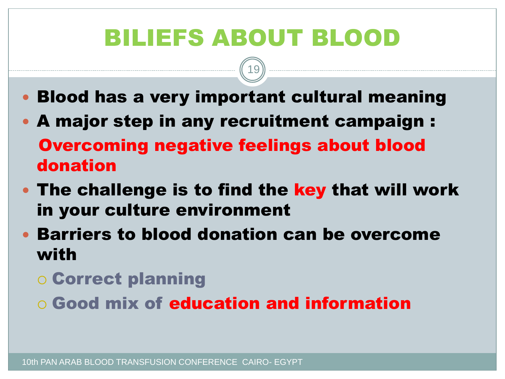# BILIEFS ABOUT BLOOD

19

- Blood has a very important cultural meaning
- A major step in any recruitment campaign : Overcoming negative feelings about blood donation
- The challenge is to find the key that will work in your culture environment
- Barriers to blood donation can be overcome with
	- **o Correct planning**
	- Good mix of education and information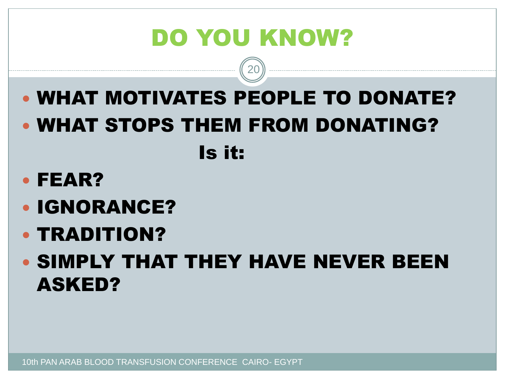# DO YOU KNOW?



 WHAT MOTIVATES PEOPLE TO DONATE? WHAT STOPS THEM FROM DONATING?

Is it:

- FEAR?
- **IGNORANCE?**
- **TRADITION?**
- SIMPLY THAT THEY HAVE NEVER BEEN ASKED?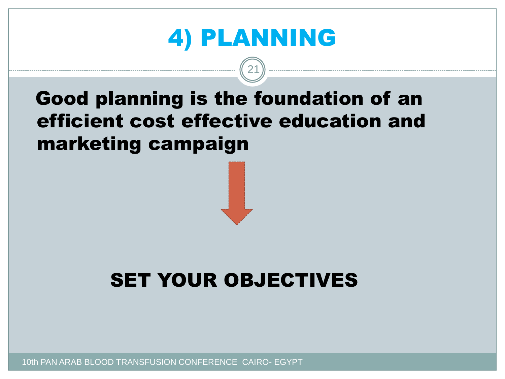# 4) PLANNING

21

### Good planning is the foundation of an efficient cost effective education and marketing campaign

### SET YOUR OBJECTIVES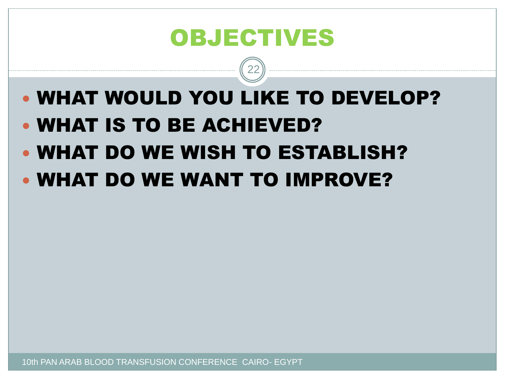# OBJECTIVES



- WHAT WOULD YOU LIKE TO DEVELOP?
- WHAT IS TO BE ACHIEVED?
- WHAT DO WE WISH TO ESTABLISH?
- WHAT DO WE WANT TO IMPROVE?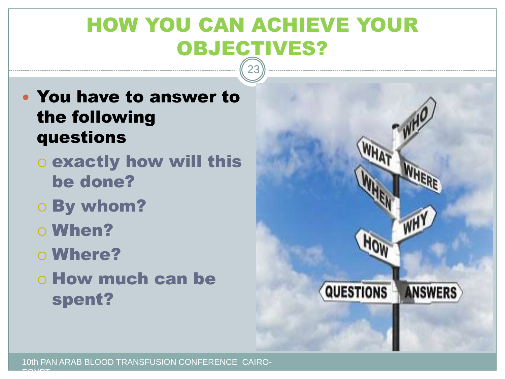### HOW YOU CAN ACHIEVE YOUR OBJECTIVES?

- You have to answer to the following questions
	- o exactly how will this be done?
	- By whom?
	- When?
	- Where?

EGYPT

 How much can be spent?

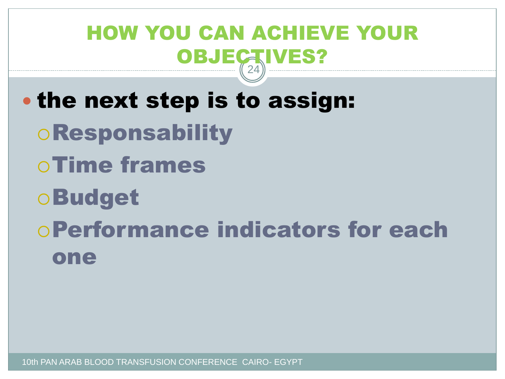#### HOW YOU CAN ACHIEVE YOUR OBJECTIVES? 24

 the next step is to assign: **oResponsability** Time frames **OBudget** Performance indicators for each one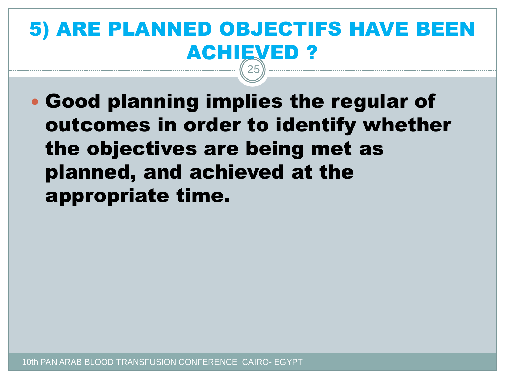#### 5) ARE PLANNED OBJECTIFS HAVE BEEN ACHIEVED ? 25

 Good planning implies the regular of outcomes in order to identify whether the objectives are being met as planned, and achieved at the appropriate time.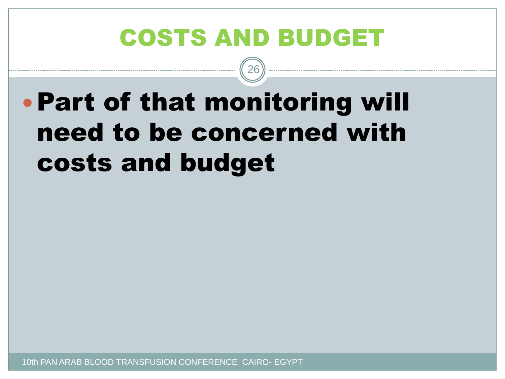# COSTS AND BUDGET

26

# Part of that monitoring will need to be concerned with costs and budget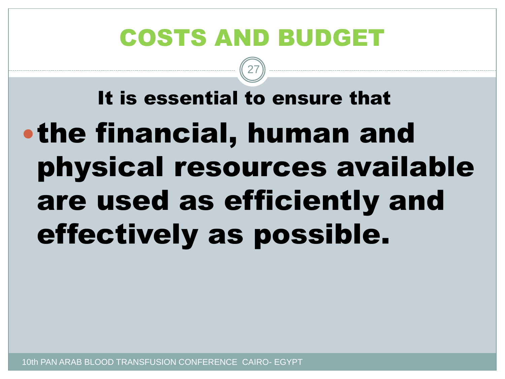# COSTS AND BUDGET

# 27

# It is essential to ensure that the financial, human and physical resources available are used as efficiently and effectively as possible.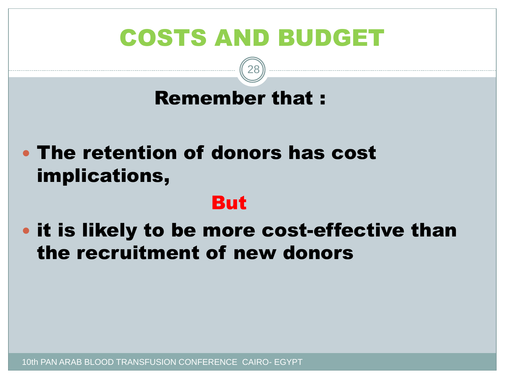# COSTS AND BUDGET

# 28

### Remember that :

 The retention of donors has cost implications,

#### But

**.** it is likely to be more cost-effective than the recruitment of new donors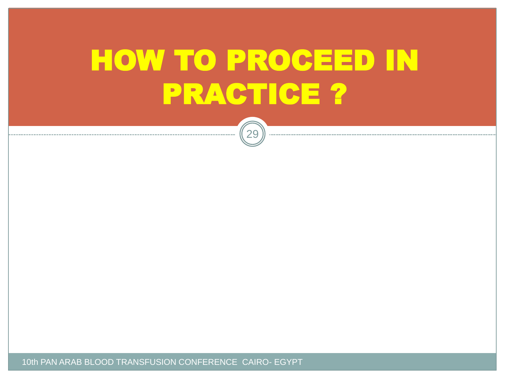# HOW TO PROCEED IN PRACTICE ?

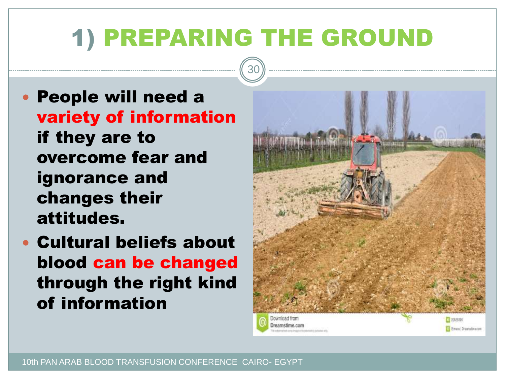# 1) PREPARING THE GROUND

30

- People will need a variety of information if they are to overcome fear and ignorance and changes their attitudes.
- Cultural beliefs about blood can be changed through the right kind of information

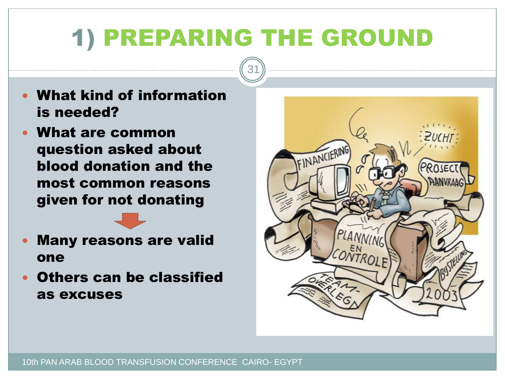# 1) PREPARING THE GROUND

31

- What kind of information is needed?
- What are common question asked about blood donation and the most common reasons given for not donating
- Many reasons are valid one
- Others can be classified as excuses

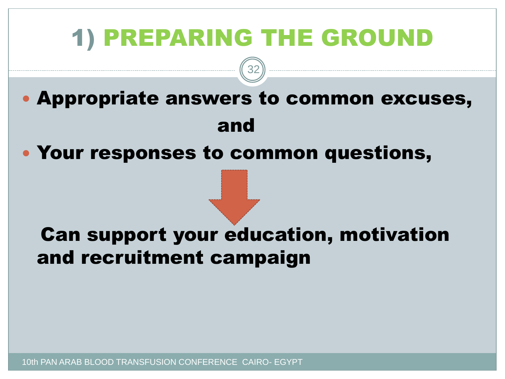

### Can support your education, motivation and recruitment campaign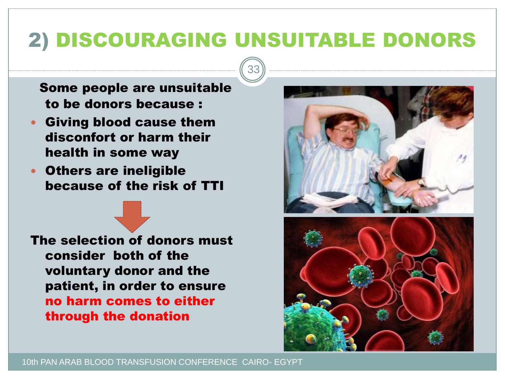### 2) DISCOURAGING UNSUITABLE DONORS

33

#### Some people are unsuitable to be donors because :

- Giving blood cause them disconfort or harm their health in some way
- Others are ineligible because of the risk of TTI

The selection of donors must consider both of the voluntary donor and the patient, in order to ensure no harm comes to either through the donation



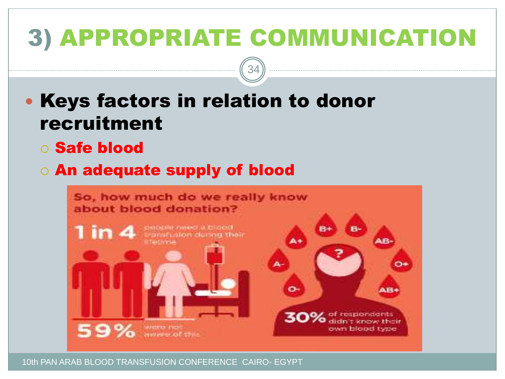# 3) APPROPRIATE COMMUNICATION

34

### Keys factors in relation to donor recruitment

Safe blood

#### An adequate supply of blood

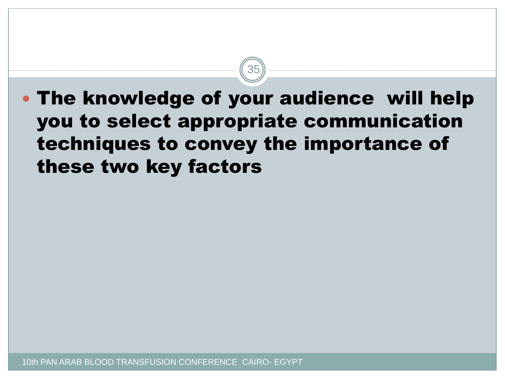

### The knowledge of your audience will help you to select appropriate communication techniques to convey the importance of these two key factors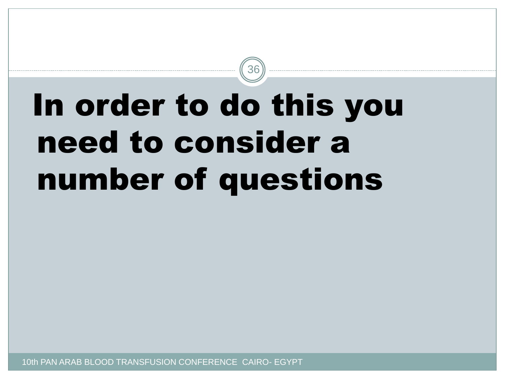

# In order to do this you need to consider a number of questions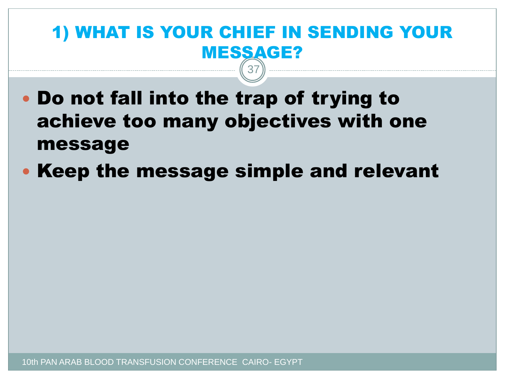#### 1) WHAT IS YOUR CHIEF IN SENDING YOUR MESSAGE? 37

- Do not fall into the trap of trying to achieve too many objectives with one message
- Keep the message simple and relevant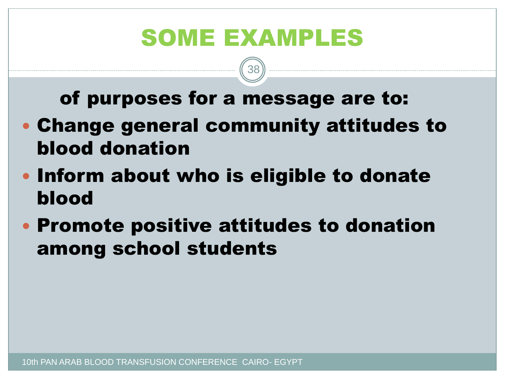# SOME EXAMPLES

38

of purposes for a message are to:

- Change general community attitudes to blood donation
- Inform about who is eligible to donate blood
- Promote positive attitudes to donation among school students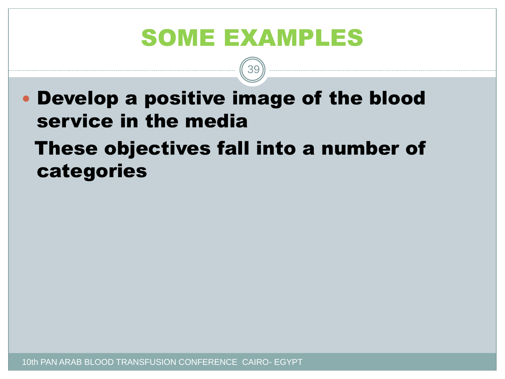## SOME EXAMPLES

39

### Develop a positive image of the blood service in the media These objectives fall into a number of categories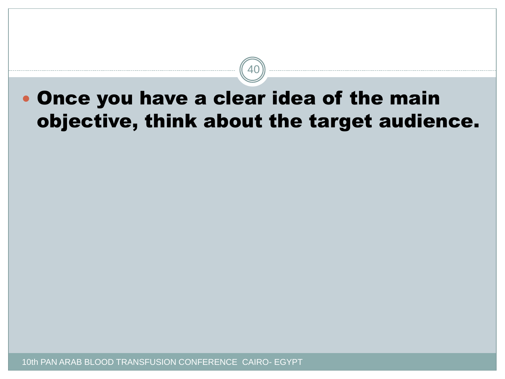### Once you have a clear idea of the main objective, think about the target audience.

40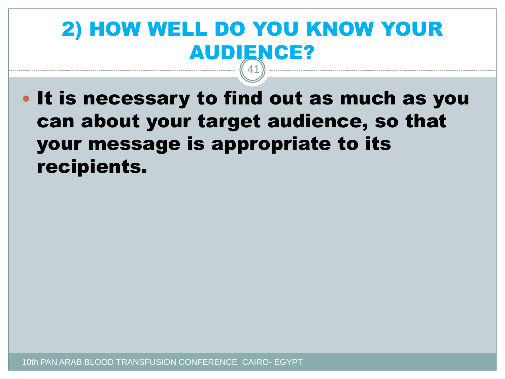#### 2) HOW WELL DO YOU KNOW YOUR AUDIENCE? 41

. It is necessary to find out as much as you can about your target audience, so that your message is appropriate to its recipients.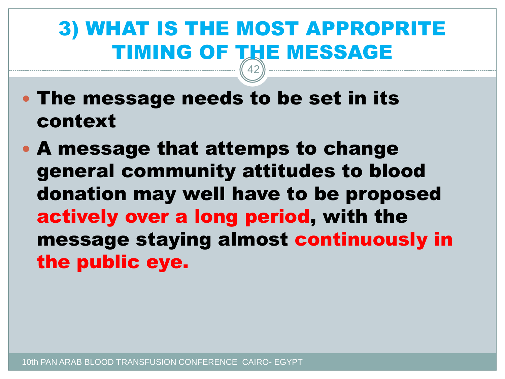#### 3) WHAT IS THE MOST APPROPRITE TIMING OF THE MESSAGE 42

- The message needs to be set in its context
- A message that attemps to change general community attitudes to blood donation may well have to be proposed actively over a long period, with the message staying almost continuously in the public eye.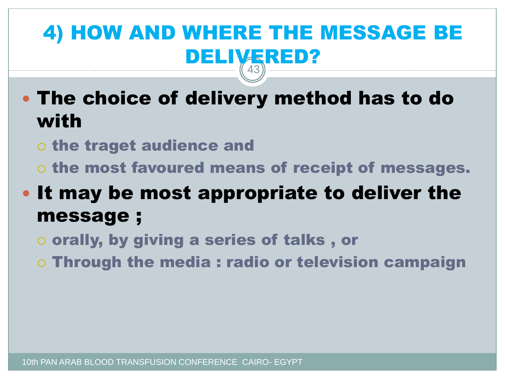#### 4) HOW AND WHERE THE MESSAGE BE DELIVERED? 43

- The choice of delivery method has to do with
	- o the traget audience and
	- o the most favoured means of receipt of messages.
- It may be most appropriate to deliver the message ;
	- o orally, by giving a series of talks, or
	- Through the media : radio or television campaign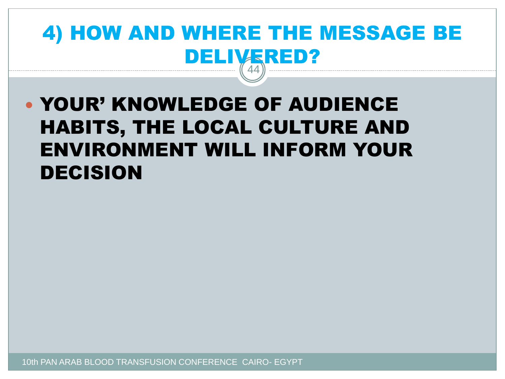#### 4) HOW AND WHERE THE MESSAGE BE DELIVERED? 44

### YOUR' KNOWLEDGE OF AUDIENCE HABITS, THE LOCAL CULTURE AND ENVIRONMENT WILL INFORM YOUR DECISION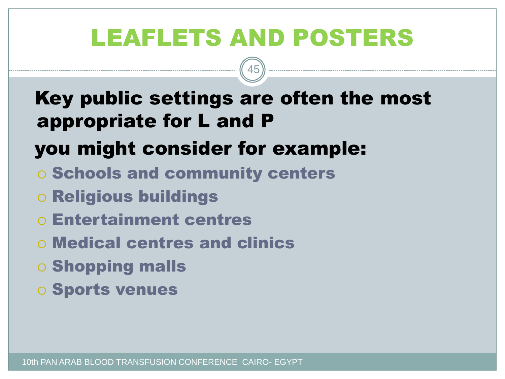# LEAFLETS AND POSTERS

45

### Key public settings are often the most appropriate for L and P

### you might consider for example:

- o Schools and community centers
- o Religious buildings
- Entertainment centres
- Medical centres and clinics
- Shopping malls
- **o Sports venues**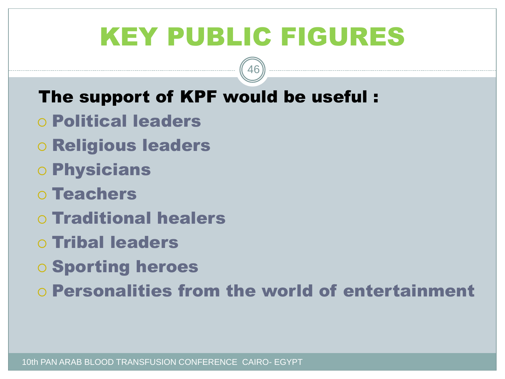# KEY PUBLIC FIGURES

46

#### The support of KPF would be useful :

- Political leaders
- o Religious leaders
- Physicians
- Teachers
- Traditional healers
- Tribal leaders
- **o Sporting heroes**
- Personalities from the world of entertainment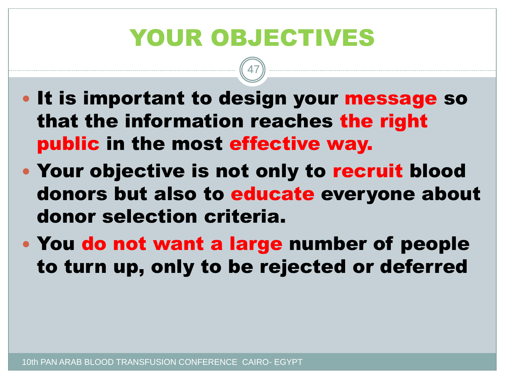# YOUR OBJECTIVES

47

- It is important to design your message so that the information reaches the right public in the most effective way.
- Your objective is not only to recruit blood donors but also to educate everyone about donor selection criteria.
- You do not want a large number of people to turn up, only to be rejected or deferred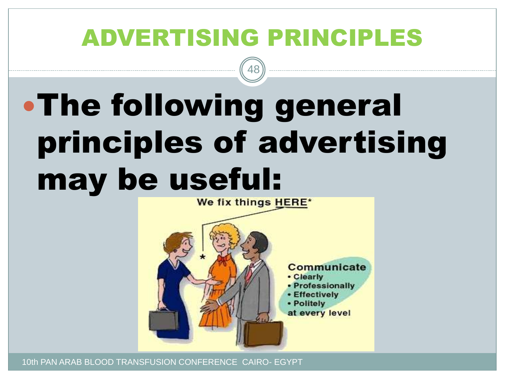# ADVERTISING PRINCIPLES

48

# The following general principles of advertising may be useful:

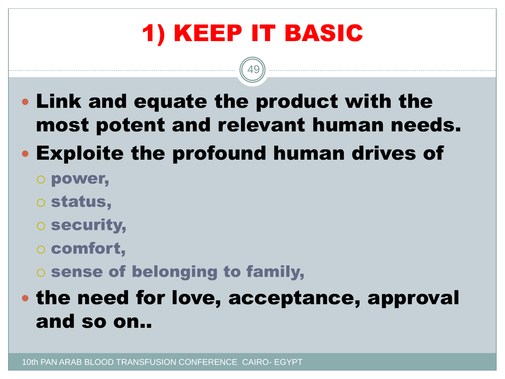# 1) KEEP IT BASIC

49

- Link and equate the product with the most potent and relevant human needs.
- Exploite the profound human drives of
	- power,
	- o status,
	- o security,
	- comfort,
	- o sense of belonging to family,

• the need for love, acceptance, approval and so on..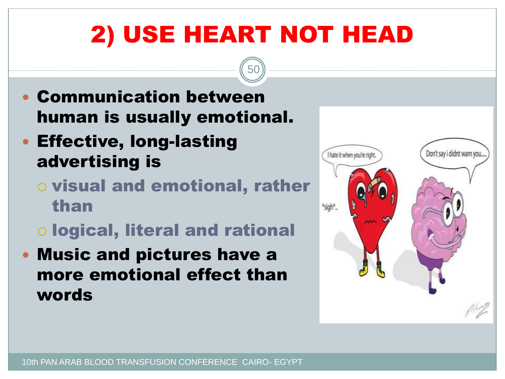# 2) USE HEART NOT HEAD

50

#### Communication between human is usually emotional.

- Effective, long-lasting advertising is
	- o visual and emotional, rather than
	- logical, literal and rational
- Music and pictures have a more emotional effect than words

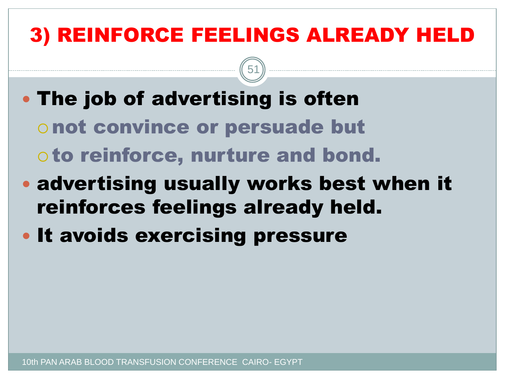### 3) REINFORCE FEELINGS ALREADY HELD

51

- The job of advertising is often o not convince or persuade but o to reinforce, nurture and bond.
- advertising usually works best when it reinforces feelings already held.
- It avoids exercising pressure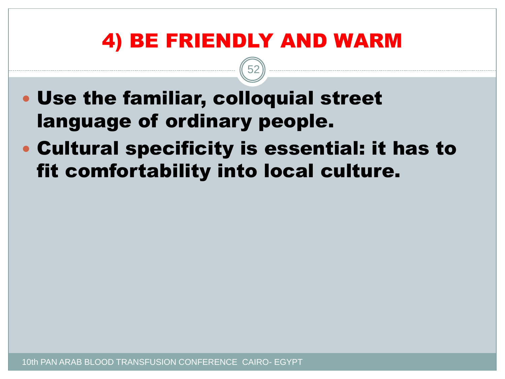### 4) BE FRIENDLY AND WARM

52

- Use the familiar, colloquial street language of ordinary people.
- Cultural specificity is essential: it has to fit comfortability into local culture.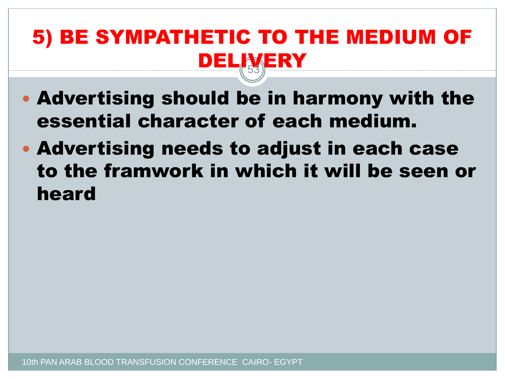## 5) BE SYMPATHETIC TO THE MEDIUM OF **DELIVERY**

- Advertising should be in harmony with the essential character of each medium.
- Advertising needs to adjust in each case to the framwork in which it will be seen or heard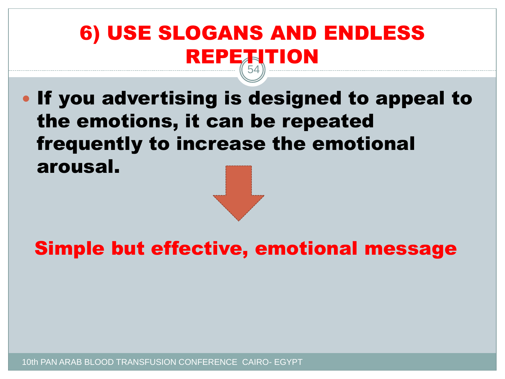#### 6) USE SLOGANS AND ENDLESS REPEATION 54

• If you advertising is designed to appeal to the emotions, it can be repeated frequently to increase the emotional arousal.

### Simple but effective, emotional message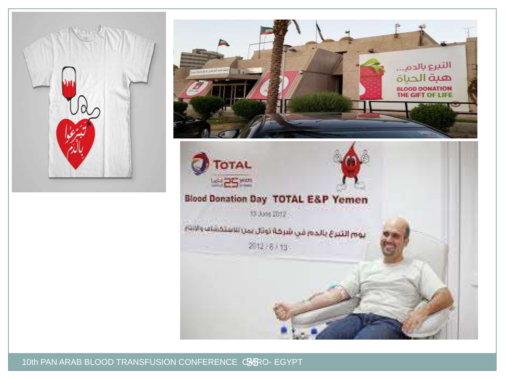

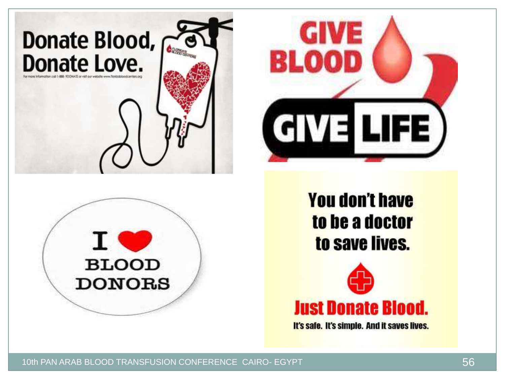



**You don't have** to be a doctor to save lives.

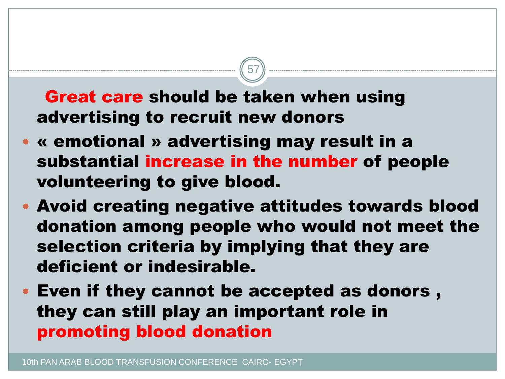#### Great care should be taken when using advertising to recruit new donors

- « emotional » advertising may result in a substantial increase in the number of people volunteering to give blood.
- Avoid creating negative attitudes towards blood donation among people who would not meet the selection criteria by implying that they are deficient or indesirable.

57

 Even if they cannot be accepted as donors , they can still play an important role in promoting blood donation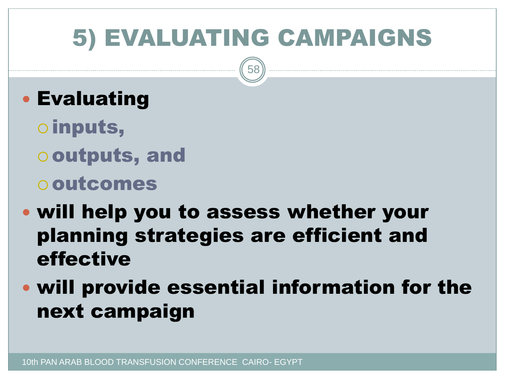# 5) EVALUATING CAMPAIGNS

58

### **• Evaluating**

 inputs, o outputs, and

### **o** outcomes

### will help you to assess whether your planning strategies are efficient and effective

 will provide essential information for the next campaign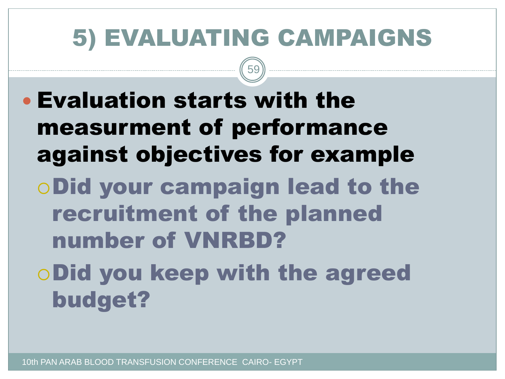# 5) EVALUATING CAMPAIGNS

59

 Evaluation starts with the measurment of performance against objectives for example Did your campaign lead to the recruitment of the planned number of VNRBD? Did you keep with the agreed budget?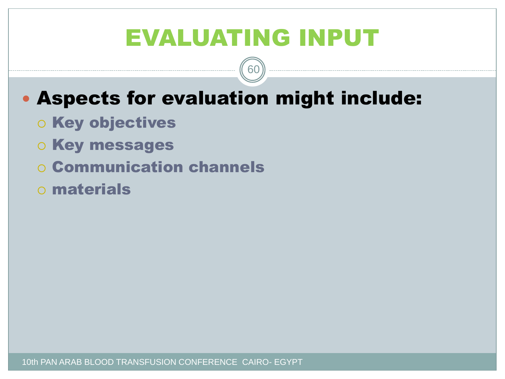# EVALUATING INPUT



### Aspects for evaluation might include:

- o Key objectives
- o Key messages
- Communication channels
- materials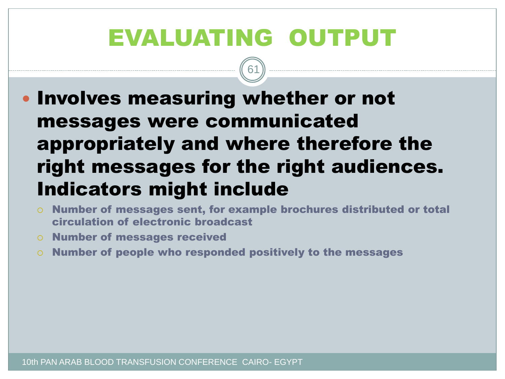# EVALUATING OUTPUT

61

- **. Involves measuring whether or not** messages were communicated appropriately and where therefore the right messages for the right audiences. Indicators might include
	- Number of messages sent, for example brochures distributed or total circulation of electronic broadcast
	- Number of messages received
	- Number of people who responded positively to the messages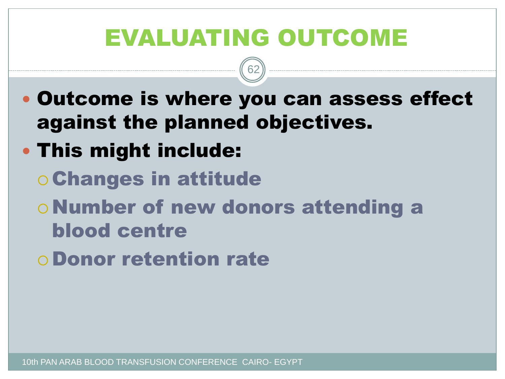# EVALUATING OUTCOME



 Outcome is where you can assess effect against the planned objectives. This might include: Changes in attitude o Number of new donors attending a blood centre Donor retention rate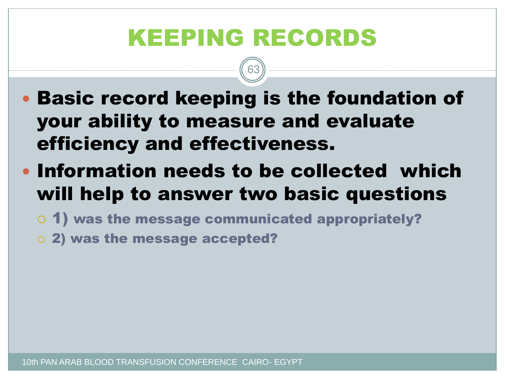# KEEPING RECORDS

- 63
- Basic record keeping is the foundation of your ability to measure and evaluate efficiency and effectiveness.
- Information needs to be collected which will help to answer two basic questions
	- o 1) was the message communicated appropriately?
	- 2) was the message accepted?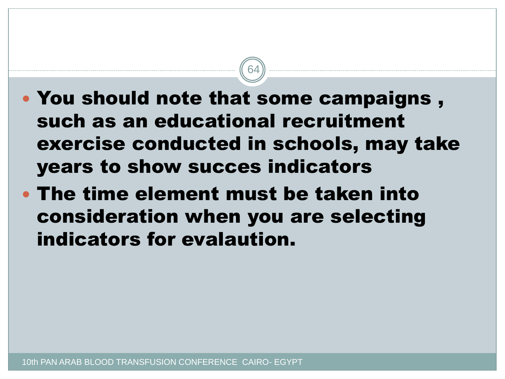You should note that some campaigns , such as an educational recruitment exercise conducted in schools, may take years to show succes indicators

64

 The time element must be taken into consideration when you are selecting indicators for evalaution.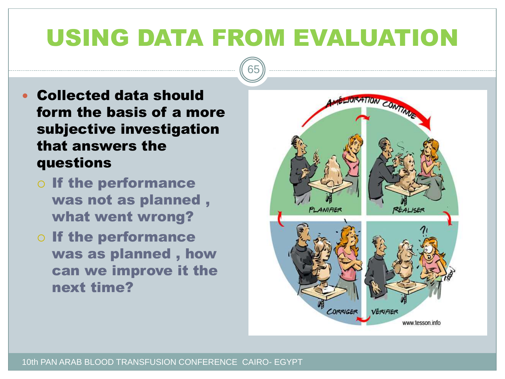# USING DATA FROM EVALUATION

65

- Collected data should form the basis of a more subjective investigation that answers the questions
	- o If the performance was not as planned , what went wrong?
	- o If the performance was as planned , how can we improve it the next time?

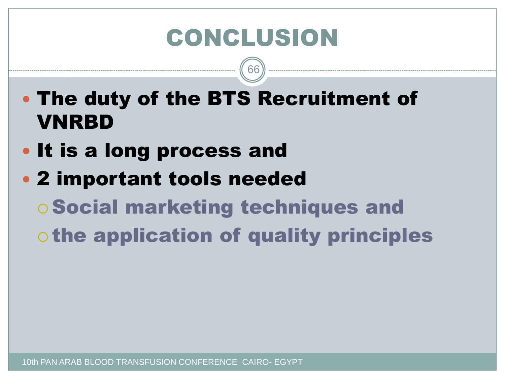# CONCLUSION



- The duty of the BTS Recruitment of VNRBD
- It is a long process and
- 2 important tools needed Social marketing techniques and o the application of quality principles